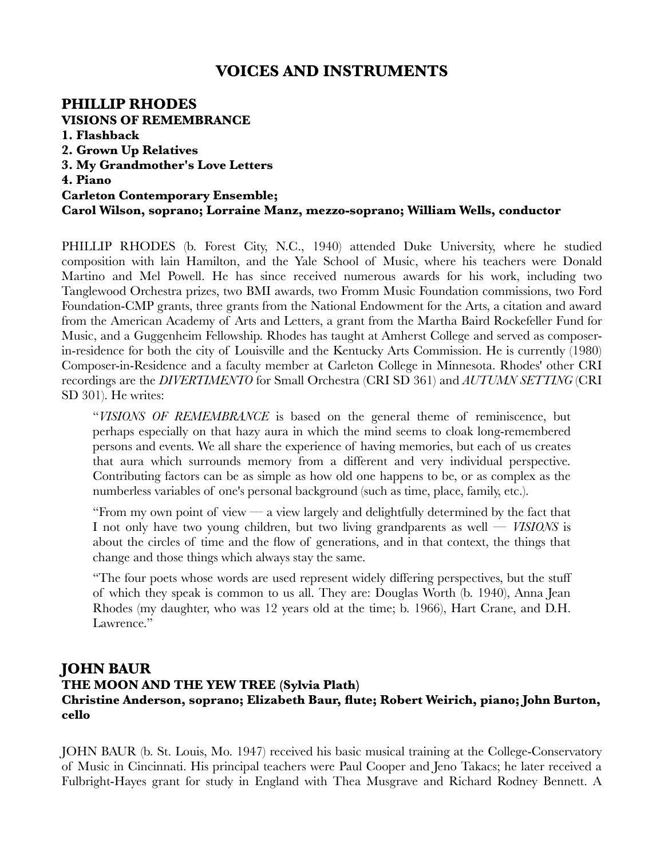# **VOICES AND INSTRUMENTS**

#### **PHILLIP RHODES VISIONS OF REMEMBRANCE 1. Flashback 2. Grown Up Relatives 3. My Grandmother's Love Letters 4. Piano Carleton Contemporary Ensemble; Carol Wilson, soprano; Lorraine Manz, mezzo-soprano; William Wells, conductor**

PHILLIP RHODES (b. Forest City, N.C., 1940) attended Duke University, where he studied composition with lain Hamilton, and the Yale School of Music, where his teachers were Donald Martino and Mel Powell. He has since received numerous awards for his work, including two Tanglewood Orchestra prizes, two BMI awards, two Fromm Music Foundation commissions, two Ford Foundation-CMP grants, three grants from the National Endowment for the Arts, a citation and award from the American Academy of Arts and Letters, a grant from the Martha Baird Rockefeller Fund for Music, and a Guggenheim Fellowship. Rhodes has taught at Amherst College and served as composerin-residence for both the city of Louisville and the Kentucky Arts Commission. He is currently (1980) Composer-in-Residence and a faculty member at Carleton College in Minnesota. Rhodes' other CRI recordings are the *DIVERTIMENTO* for Small Orchestra (CRI SD 361) and *AUTUMN SETTING* (CRI SD 301). He writes:

"*VISIONS OF REMEMBRANCE* is based on the general theme of reminiscence, but perhaps especially on that hazy aura in which the mind seems to cloak long-remembered persons and events. We all share the experience of having memories, but each of us creates that aura which surrounds memory from a different and very individual perspective. Contributing factors can be as simple as how old one happens to be, or as complex as the numberless variables of one's personal background (such as time, place, family, etc.).

"From my own point of view — a view largely and delightfully determined by the fact that I not only have two young children, but two living grandparents as well — *VISIONS* is about the circles of time and the flow of generations, and in that context, the things that change and those things which always stay the same.

"The four poets whose words are used represent widely differing perspectives, but the stuff of which they speak is common to us all. They are: Douglas Worth (b. 1940), Anna Jean Rhodes (my daughter, who was 12 years old at the time; b. 1966), Hart Crane, and D.H. Lawrence."

## **JOHN BAUR**

## **THE MOON AND THE YEW TREE (Sylvia Plath) Christine Anderson, soprano; Elizabeth Baur, flute; Robert Weirich, piano; John Burton, cello**

JOHN BAUR (b. St. Louis, Mo. 1947) received his basic musical training at the College-Conservatory of Music in Cincinnati. His principal teachers were Paul Cooper and Jeno Takacs; he later received a Fulbright-Hayes grant for study in England with Thea Musgrave and Richard Rodney Bennett. A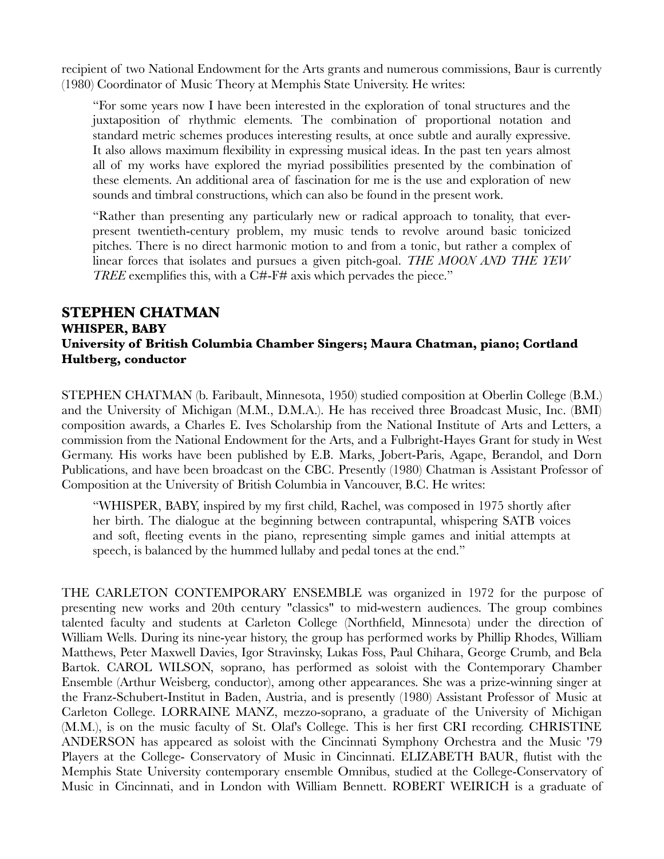recipient of two National Endowment for the Arts grants and numerous commissions, Baur is currently (1980) Coordinator of Music Theory at Memphis State University. He writes:

"For some years now I have been interested in the exploration of tonal structures and the juxtaposition of rhythmic elements. The combination of proportional notation and standard metric schemes produces interesting results, at once subtle and aurally expressive. It also allows maximum flexibility in expressing musical ideas. In the past ten years almost all of my works have explored the myriad possibilities presented by the combination of these elements. An additional area of fascination for me is the use and exploration of new sounds and timbral constructions, which can also be found in the present work.

"Rather than presenting any particularly new or radical approach to tonality, that everpresent twentieth-century problem, my music tends to revolve around basic tonicized pitches. There is no direct harmonic motion to and from a tonic, but rather a complex of linear forces that isolates and pursues a given pitch-goal. *THE MOON AND THE YEW TREE* exemplifies this, with a C#-F# axis which pervades the piece."

#### **STEPHEN CHATMAN WHISPER, BABY University of British Columbia Chamber Singers; Maura Chatman, piano; Cortland Hultberg, conductor**

STEPHEN CHATMAN (b. Faribault, Minnesota, 1950) studied composition at Oberlin College (B.M.) and the University of Michigan (M.M., D.M.A.). He has received three Broadcast Music, Inc. (BMI) composition awards, a Charles E. Ives Scholarship from the National Institute of Arts and Letters, a commission from the National Endowment for the Arts, and a Fulbright-Hayes Grant for study in West Germany. His works have been published by E.B. Marks, Jobert-Paris, Agape, Berandol, and Dorn Publications, and have been broadcast on the CBC. Presently (1980) Chatman is Assistant Professor of Composition at the University of British Columbia in Vancouver, B.C. He writes:

"WHISPER, BABY, inspired by my first child, Rachel, was composed in 1975 shortly after her birth. The dialogue at the beginning between contrapuntal, whispering SATB voices and soft, fleeting events in the piano, representing simple games and initial attempts at speech, is balanced by the hummed lullaby and pedal tones at the end."

THE CARLETON CONTEMPORARY ENSEMBLE was organized in 1972 for the purpose of presenting new works and 20th century "classics" to mid-western audiences. The group combines talented faculty and students at Carleton College (Northfield, Minnesota) under the direction of William Wells. During its nine-year history, the group has performed works by Phillip Rhodes, William Matthews, Peter Maxwell Davies, Igor Stravinsky, Lukas Foss, Paul Chihara, George Crumb, and Bela Bartok. CAROL WILSON, soprano, has performed as soloist with the Contemporary Chamber Ensemble (Arthur Weisberg, conductor), among other appearances. She was a prize-winning singer at the Franz-Schubert-Institut in Baden, Austria, and is presently (1980) Assistant Professor of Music at Carleton College. LORRAINE MANZ, mezzo-soprano, a graduate of the University of Michigan (M.M.), is on the music faculty of St. Olaf's College. This is her first CRI recording. CHRISTINE ANDERSON has appeared as soloist with the Cincinnati Symphony Orchestra and the Music '79 Players at the College- Conservatory of Music in Cincinnati. ELIZABETH BAUR, flutist with the Memphis State University contemporary ensemble Omnibus, studied at the College-Conservatory of Music in Cincinnati, and in London with William Bennett. ROBERT WEIRICH is a graduate of